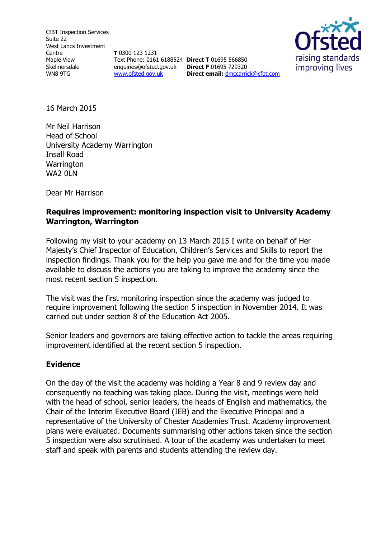CfBT Inspection Services Suite 22 West Lancs Investment Centre Maple View Skelmersdale WN8 9TG

**T** 0300 123 1231 Text Phone: 0161 6188524 **Direct T** 01695 566850 enquiries@ofsted.gov.uk **Direct F** 01695 729320 [www.ofsted.gov.uk](http://www.ofsted.gov.uk/)

raising standards improving lives **Direct email:** [dmccarrick@cfbt.com](file:///C:/Users/pgeraghty/AppData/Local/Microsoft/Windows/Temporary%20Internet%20Files/Content.IE5/NTIBO1SO/dmccarrick@cfbt.com)

16 March 2015

Mr Neil Harrison Head of School University Academy Warrington Insall Road **Warrington** WA2 0LN

Dear Mr Harrison

### **Requires improvement: monitoring inspection visit to University Academy Warrington, Warrington**

Following my visit to your academy on 13 March 2015 I write on behalf of Her Majesty's Chief Inspector of Education, Children's Services and Skills to report the inspection findings. Thank you for the help you gave me and for the time you made available to discuss the actions you are taking to improve the academy since the most recent section 5 inspection.

The visit was the first monitoring inspection since the academy was judged to require improvement following the section 5 inspection in November 2014. It was carried out under section 8 of the Education Act 2005.

Senior leaders and governors are taking effective action to tackle the areas requiring improvement identified at the recent section 5 inspection.

#### **Evidence**

On the day of the visit the academy was holding a Year 8 and 9 review day and consequently no teaching was taking place. During the visit, meetings were held with the head of school, senior leaders, the heads of English and mathematics, the Chair of the Interim Executive Board (IEB) and the Executive Principal and a representative of the University of Chester Academies Trust. Academy improvement plans were evaluated. Documents summarising other actions taken since the section 5 inspection were also scrutinised. A tour of the academy was undertaken to meet staff and speak with parents and students attending the review day.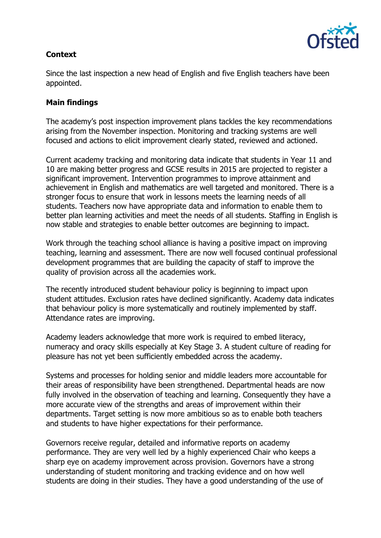# **Context**



Since the last inspection a new head of English and five English teachers have been appointed.

## **Main findings**

The academy's post inspection improvement plans tackles the key recommendations arising from the November inspection. Monitoring and tracking systems are well focused and actions to elicit improvement clearly stated, reviewed and actioned.

Current academy tracking and monitoring data indicate that students in Year 11 and 10 are making better progress and GCSE results in 2015 are projected to register a significant improvement. Intervention programmes to improve attainment and achievement in English and mathematics are well targeted and monitored. There is a stronger focus to ensure that work in lessons meets the learning needs of all students. Teachers now have appropriate data and information to enable them to better plan learning activities and meet the needs of all students. Staffing in English is now stable and strategies to enable better outcomes are beginning to impact.

Work through the teaching school alliance is having a positive impact on improving teaching, learning and assessment. There are now well focused continual professional development programmes that are building the capacity of staff to improve the quality of provision across all the academies work.

The recently introduced student behaviour policy is beginning to impact upon student attitudes. Exclusion rates have declined significantly. Academy data indicates that behaviour policy is more systematically and routinely implemented by staff. Attendance rates are improving.

Academy leaders acknowledge that more work is required to embed literacy, numeracy and oracy skills especially at Key Stage 3. A student culture of reading for pleasure has not yet been sufficiently embedded across the academy.

Systems and processes for holding senior and middle leaders more accountable for their areas of responsibility have been strengthened. Departmental heads are now fully involved in the observation of teaching and learning. Consequently they have a more accurate view of the strengths and areas of improvement within their departments. Target setting is now more ambitious so as to enable both teachers and students to have higher expectations for their performance.

Governors receive regular, detailed and informative reports on academy performance. They are very well led by a highly experienced Chair who keeps a sharp eye on academy improvement across provision. Governors have a strong understanding of student monitoring and tracking evidence and on how well students are doing in their studies. They have a good understanding of the use of